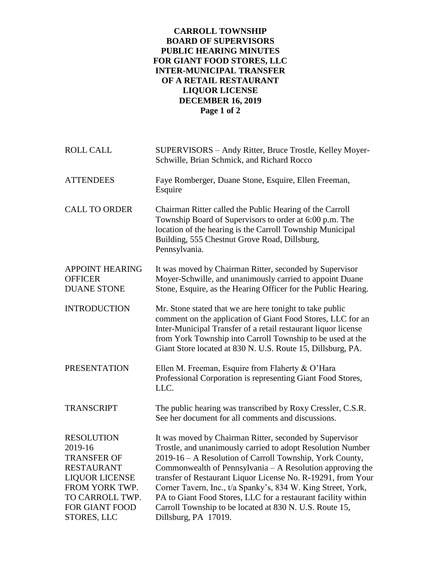## **CARROLL TOWNSHIP BOARD OF SUPERVISORS PUBLIC HEARING MINUTES FOR GIANT FOOD STORES, LLC INTER-MUNICIPAL TRANSFER OF A RETAIL RESTAURANT LIQUOR LICENSE DECEMBER 16, 2019 Page 1 of 2**

| <b>ROLL CALL</b>                                                                                                                                                       | SUPERVISORS – Andy Ritter, Bruce Trostle, Kelley Moyer-<br>Schwille, Brian Schmick, and Richard Rocco                                                                                                                                                                                                                                                                                                                                                                                                                               |
|------------------------------------------------------------------------------------------------------------------------------------------------------------------------|-------------------------------------------------------------------------------------------------------------------------------------------------------------------------------------------------------------------------------------------------------------------------------------------------------------------------------------------------------------------------------------------------------------------------------------------------------------------------------------------------------------------------------------|
| <b>ATTENDEES</b>                                                                                                                                                       | Faye Romberger, Duane Stone, Esquire, Ellen Freeman,<br>Esquire                                                                                                                                                                                                                                                                                                                                                                                                                                                                     |
| <b>CALL TO ORDER</b>                                                                                                                                                   | Chairman Ritter called the Public Hearing of the Carroll<br>Township Board of Supervisors to order at 6:00 p.m. The<br>location of the hearing is the Carroll Township Municipal<br>Building, 555 Chestnut Grove Road, Dillsburg,<br>Pennsylvania.                                                                                                                                                                                                                                                                                  |
| <b>APPOINT HEARING</b><br><b>OFFICER</b><br><b>DUANE STONE</b>                                                                                                         | It was moved by Chairman Ritter, seconded by Supervisor<br>Moyer-Schwille, and unanimously carried to appoint Duane<br>Stone, Esquire, as the Hearing Officer for the Public Hearing.                                                                                                                                                                                                                                                                                                                                               |
| <b>INTRODUCTION</b>                                                                                                                                                    | Mr. Stone stated that we are here tonight to take public<br>comment on the application of Giant Food Stores, LLC for an<br>Inter-Municipal Transfer of a retail restaurant liquor license<br>from York Township into Carroll Township to be used at the<br>Giant Store located at 830 N. U.S. Route 15, Dillsburg, PA.                                                                                                                                                                                                              |
| <b>PRESENTATION</b>                                                                                                                                                    | Ellen M. Freeman, Esquire from Flaherty & O'Hara<br>Professional Corporation is representing Giant Food Stores,<br>LLC.                                                                                                                                                                                                                                                                                                                                                                                                             |
| <b>TRANSCRIPT</b>                                                                                                                                                      | The public hearing was transcribed by Roxy Cressler, C.S.R.<br>See her document for all comments and discussions.                                                                                                                                                                                                                                                                                                                                                                                                                   |
| <b>RESOLUTION</b><br>2019-16<br><b>TRANSFER OF</b><br>RESTAURANT<br><b>LIQUOR LICENSE</b><br>FROM YORK TWP.<br>TO CARROLL TWP.<br><b>FOR GIANT FOOD</b><br>STORES, LLC | It was moved by Chairman Ritter, seconded by Supervisor<br>Trostle, and unanimously carried to adopt Resolution Number<br>2019-16 - A Resolution of Carroll Township, York County,<br>Commonwealth of Pennsylvania - A Resolution approving the<br>transfer of Restaurant Liquor License No. R-19291, from Your<br>Corner Tavern, Inc., t/a Spanky's, 834 W. King Street, York,<br>PA to Giant Food Stores, LLC for a restaurant facility within<br>Carroll Township to be located at 830 N. U.S. Route 15,<br>Dillsburg, PA 17019. |